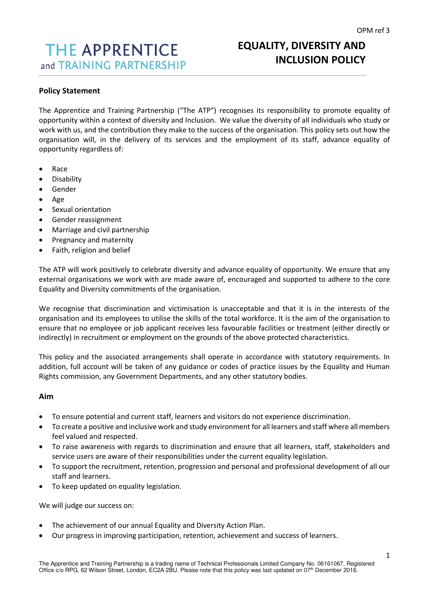# **THE APPRENTICE** and TRAINING PARTNERSHIP

## **EQUALITY, DIVERSITY AND INCLUSION POLICY**

## **Policy Statement**

The Apprentice and Training Partnership ("The ATP") recognises its responsibility to promote equality of opportunity within a context of diversity and Inclusion. We value the diversity of all individuals who study or work with us, and the contribution they make to the success of the organisation. This policy sets out how the organisation will, in the delivery of its services and the employment of its staff, advance equality of opportunity regardless of:

- Race
- Disability
- Gender
- Age
- Sexual orientation
- Gender reassignment
- Marriage and civil partnership
- Pregnancy and maternity
- Faith, religion and belief

The ATP will work positively to celebrate diversity and advance equality of opportunity. We ensure that any external organisations we work with are made aware of, encouraged and supported to adhere to the core Equality and Diversity commitments of the organisation.

We recognise that discrimination and victimisation is unacceptable and that it is in the interests of the organisation and its employees to utilise the skills of the total workforce. It is the aim of the organisation to ensure that no employee or job applicant receives less favourable facilities or treatment (either directly or indirectly) in recruitment or employment on the grounds of the above protected characteristics.

This policy and the associated arrangements shall operate in accordance with statutory requirements. In addition, full account will be taken of any guidance or codes of practice issues by the Equality and Human Rights commission, any Government Departments, and any other statutory bodies.

#### **Aim**

- To ensure potential and current staff, learners and visitors do not experience discrimination.
- To create a positive and inclusive work and study environment for all learners and staff where all members feel valued and respected.
- To raise awareness with regards to discrimination and ensure that all learners, staff, stakeholders and service users are aware of their responsibilities under the current equality legislation.
- To support the recruitment, retention, progression and personal and professional development of all our staff and learners.
- To keep updated on equality legislation.

We will judge our success on:

- The achievement of our annual Equality and Diversity Action Plan.
- Our progress in improving participation, retention, achievement and success of learners.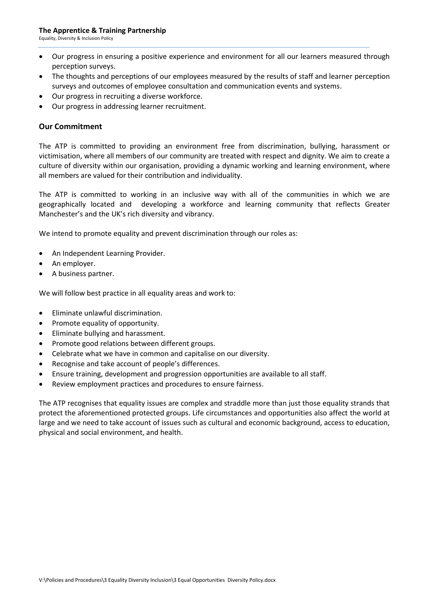Equality, Diversity & Inclusion Policy

- Our progress in ensuring a positive experience and environment for all our learners measured through perception surveys.
- The thoughts and perceptions of our employees measured by the results of staff and learner perception surveys and outcomes of employee consultation and communication events and systems.
- Our progress in recruiting a diverse workforce.
- Our progress in addressing learner recruitment.

## **Our Commitment**

The ATP is committed to providing an environment free from discrimination, bullying, harassment or victimisation, where all members of our community are treated with respect and dignity. We aim to create a culture of diversity within our organisation, providing a dynamic working and learning environment, where all members are valued for their contribution and individuality.

The ATP is committed to working in an inclusive way with all of the communities in which we are geographically located and developing a workforce and learning community that reflects Greater Manchester's and the UK's rich diversity and vibrancy.

We intend to promote equality and prevent discrimination through our roles as:

- An Independent Learning Provider.
- An employer.
- A business partner.

We will follow best practice in all equality areas and work to:

- Eliminate unlawful discrimination.
- Promote equality of opportunity.
- Eliminate bullying and harassment.
- Promote good relations between different groups.
- Celebrate what we have in common and capitalise on our diversity.
- Recognise and take account of people's differences.
- Ensure training, development and progression opportunities are available to all staff.
- Review employment practices and procedures to ensure fairness.

The ATP recognises that equality issues are complex and straddle more than just those equality strands that protect the aforementioned protected groups. Life circumstances and opportunities also affect the world at large and we need to take account of issues such as cultural and economic background, access to education, physical and social environment, and health.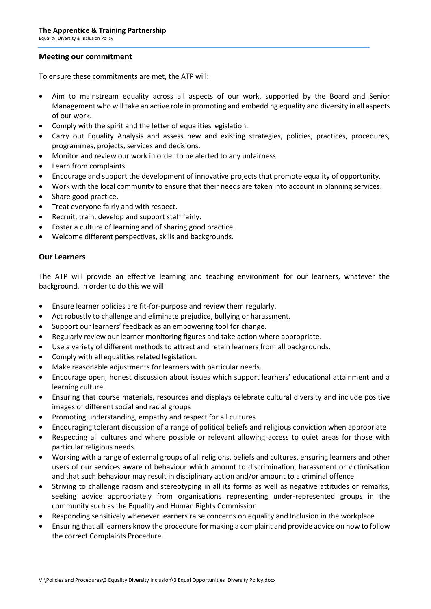Equality, Diversity & Inclusion Policy

#### **Meeting our commitment**

To ensure these commitments are met, the ATP will:

- Aim to mainstream equality across all aspects of our work, supported by the Board and Senior Management who will take an active role in promoting and embedding equality and diversity in all aspects of our work.
- Comply with the spirit and the letter of equalities legislation.
- Carry out Equality Analysis and assess new and existing strategies, policies, practices, procedures, programmes, projects, services and decisions.
- Monitor and review our work in order to be alerted to any unfairness.
- Learn from complaints.
- Encourage and support the development of innovative projects that promote equality of opportunity.
- Work with the local community to ensure that their needs are taken into account in planning services.
- Share good practice.
- Treat everyone fairly and with respect.
- Recruit, train, develop and support staff fairly.
- Foster a culture of learning and of sharing good practice.
- Welcome different perspectives, skills and backgrounds.

## **Our Learners**

The ATP will provide an effective learning and teaching environment for our learners, whatever the background. In order to do this we will:

- Ensure learner policies are fit-for-purpose and review them regularly.
- Act robustly to challenge and eliminate prejudice, bullying or harassment.
- Support our learners' feedback as an empowering tool for change.
- Regularly review our learner monitoring figures and take action where appropriate.
- Use a variety of different methods to attract and retain learners from all backgrounds.
- Comply with all equalities related legislation.
- Make reasonable adjustments for learners with particular needs.
- Encourage open, honest discussion about issues which support learners' educational attainment and a learning culture.
- Ensuring that course materials, resources and displays celebrate cultural diversity and include positive images of different social and racial groups
- Promoting understanding, empathy and respect for all cultures
- Encouraging tolerant discussion of a range of political beliefs and religious conviction when appropriate
- Respecting all cultures and where possible or relevant allowing access to quiet areas for those with particular religious needs.
- Working with a range of external groups of all religions, beliefs and cultures, ensuring learners and other users of our services aware of behaviour which amount to discrimination, harassment or victimisation and that such behaviour may result in disciplinary action and/or amount to a criminal offence.
- Striving to challenge racism and stereotyping in all its forms as well as negative attitudes or remarks, seeking advice appropriately from organisations representing under-represented groups in the community such as the Equality and Human Rights Commission
- Responding sensitively whenever learners raise concerns on equality and Inclusion in the workplace
- Ensuring that all learners know the procedure for making a complaint and provide advice on how to follow the correct Complaints Procedure.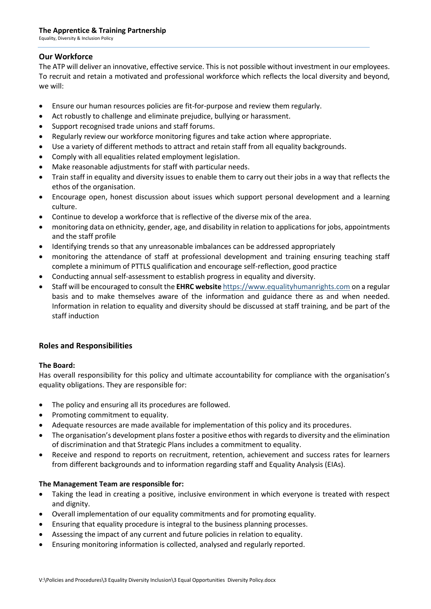Equality, Diversity & Inclusion Policy

## **Our Workforce**

The ATP will deliver an innovative, effective service. This is not possible without investment in our employees. To recruit and retain a motivated and professional workforce which reflects the local diversity and beyond, we will:

- Ensure our human resources policies are fit-for-purpose and review them regularly.
- Act robustly to challenge and eliminate prejudice, bullying or harassment.
- Support recognised trade unions and staff forums.
- Regularly review our workforce monitoring figures and take action where appropriate.
- Use a variety of different methods to attract and retain staff from all equality backgrounds.
- Comply with all equalities related employment legislation.
- Make reasonable adjustments for staff with particular needs.
- Train staff in equality and diversity issues to enable them to carry out their jobs in a way that reflects the ethos of the organisation.
- Encourage open, honest discussion about issues which support personal development and a learning culture.
- Continue to develop a workforce that is reflective of the diverse mix of the area.
- monitoring data on ethnicity, gender, age, and disability in relation to applications for jobs, appointments and the staff profile
- Identifying trends so that any unreasonable imbalances can be addressed appropriately
- monitoring the attendance of staff at professional development and training ensuring teaching staff complete a minimum of PTTLS qualification and encourage self-reflection, good practice
- Conducting annual self-assessment to establish progress in equality and diversity.
- Staff will be encouraged to consult the **EHRC website** https://www.equalityhumanrights.com on a regular basis and to make themselves aware of the information and guidance there as and when needed. Information in relation to equality and diversity should be discussed at staff training, and be part of the staff induction

## **Roles and Responsibilities**

#### **The Board:**

Has overall responsibility for this policy and ultimate accountability for compliance with the organisation's equality obligations. They are responsible for:

- The policy and ensuring all its procedures are followed.
- Promoting commitment to equality.
- Adequate resources are made available for implementation of this policy and its procedures.
- The organisation's development plans foster a positive ethos with regards to diversity and the elimination of discrimination and that Strategic Plans includes a commitment to equality.
- Receive and respond to reports on recruitment, retention, achievement and success rates for learners from different backgrounds and to information regarding staff and Equality Analysis (EIAs).

#### **The Management Team are responsible for:**

- Taking the lead in creating a positive, inclusive environment in which everyone is treated with respect and dignity.
- Overall implementation of our equality commitments and for promoting equality.
- Ensuring that equality procedure is integral to the business planning processes.
- Assessing the impact of any current and future policies in relation to equality.
- Ensuring monitoring information is collected, analysed and regularly reported.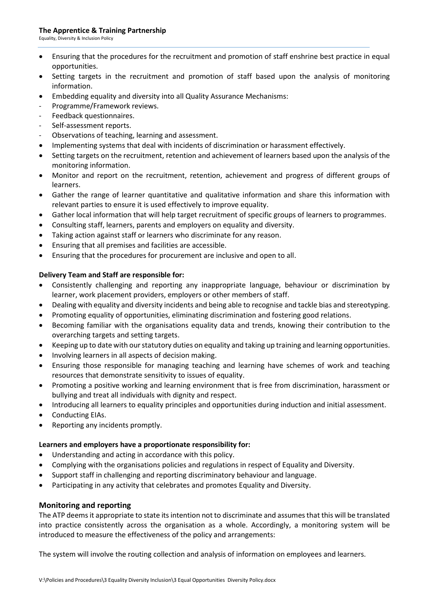#### **The Apprentice & Training Partnership**

Equality, Diversity & Inclusion Policy

- Ensuring that the procedures for the recruitment and promotion of staff enshrine best practice in equal opportunities.
- Setting targets in the recruitment and promotion of staff based upon the analysis of monitoring information.
- Embedding equality and diversity into all Quality Assurance Mechanisms:
- Programme/Framework reviews.
- Feedback questionnaires.
- Self-assessment reports.
- Observations of teaching, learning and assessment.
- Implementing systems that deal with incidents of discrimination or harassment effectively.
- Setting targets on the recruitment, retention and achievement of learners based upon the analysis of the monitoring information.
- Monitor and report on the recruitment, retention, achievement and progress of different groups of learners.
- Gather the range of learner quantitative and qualitative information and share this information with relevant parties to ensure it is used effectively to improve equality.
- Gather local information that will help target recruitment of specific groups of learners to programmes.
- Consulting staff, learners, parents and employers on equality and diversity.
- Taking action against staff or learners who discriminate for any reason.
- Ensuring that all premises and facilities are accessible.
- Ensuring that the procedures for procurement are inclusive and open to all.

#### **Delivery Team and Staff are responsible for:**

- Consistently challenging and reporting any inappropriate language, behaviour or discrimination by learner, work placement providers, employers or other members of staff.
- Dealing with equality and diversity incidents and being able to recognise and tackle bias and stereotyping.
- Promoting equality of opportunities, eliminating discrimination and fostering good relations.
- Becoming familiar with the organisations equality data and trends, knowing their contribution to the overarching targets and setting targets.
- Keeping up to date with our statutory duties on equality and taking up training and learning opportunities.
- Involving learners in all aspects of decision making.
- Ensuring those responsible for managing teaching and learning have schemes of work and teaching resources that demonstrate sensitivity to issues of equality.
- Promoting a positive working and learning environment that is free from discrimination, harassment or bullying and treat all individuals with dignity and respect.
- Introducing all learners to equality principles and opportunities during induction and initial assessment.
- Conducting EIAs.
- Reporting any incidents promptly.

#### **Learners and employers have a proportionate responsibility for:**

- Understanding and acting in accordance with this policy.
- Complying with the organisations policies and regulations in respect of Equality and Diversity.
- Support staff in challenging and reporting discriminatory behaviour and language.
- Participating in any activity that celebrates and promotes Equality and Diversity.

#### **Monitoring and reporting**

The ATP deems it appropriate to state its intention not to discriminate and assumes that this will be translated into practice consistently across the organisation as a whole. Accordingly, a monitoring system will be introduced to measure the effectiveness of the policy and arrangements:

The system will involve the routing collection and analysis of information on employees and learners.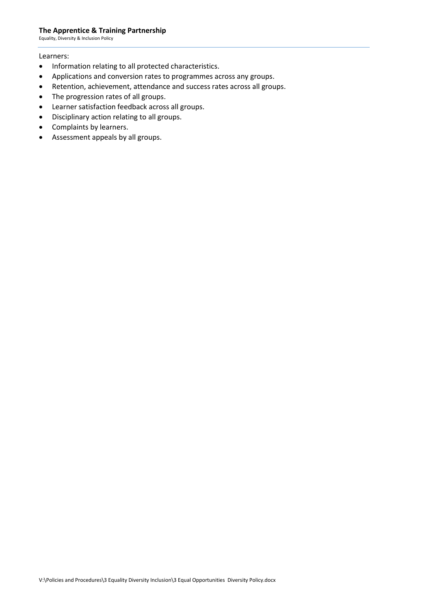#### **The Apprentice & Training Partnership**

Equality, Diversity & Inclusion Policy

#### Learners:

- Information relating to all protected characteristics.
- Applications and conversion rates to programmes across any groups.
- Retention, achievement, attendance and success rates across all groups.
- The progression rates of all groups.
- Learner satisfaction feedback across all groups.
- Disciplinary action relating to all groups.
- Complaints by learners.
- Assessment appeals by all groups.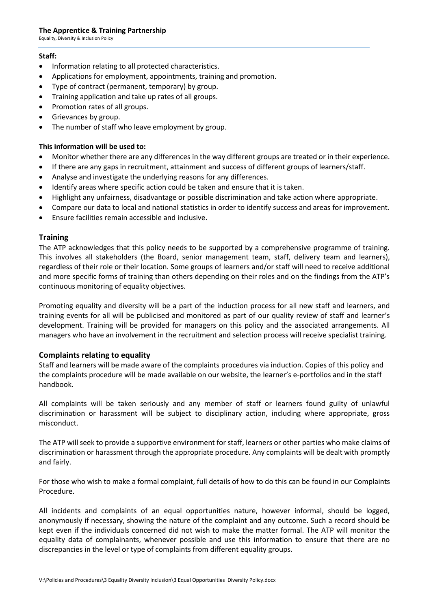#### **The Apprentice & Training Partnership**

Equality, Diversity & Inclusion Policy

#### **Staff:**

- Information relating to all protected characteristics.
- Applications for employment, appointments, training and promotion.
- Type of contract (permanent, temporary) by group.
- Training application and take up rates of all groups.
- Promotion rates of all groups.
- Grievances by group.
- The number of staff who leave employment by group.

#### **This information will be used to:**

- Monitor whether there are any differences in the way different groups are treated or in their experience.
- If there are any gaps in recruitment, attainment and success of different groups of learners/staff.
- Analyse and investigate the underlying reasons for any differences.
- Identify areas where specific action could be taken and ensure that it is taken.
- Highlight any unfairness, disadvantage or possible discrimination and take action where appropriate.
- Compare our data to local and national statistics in order to identify success and areas for improvement.
- Ensure facilities remain accessible and inclusive.

#### **Training**

The ATP acknowledges that this policy needs to be supported by a comprehensive programme of training. This involves all stakeholders (the Board, senior management team, staff, delivery team and learners), regardless of their role or their location. Some groups of learners and/or staff will need to receive additional and more specific forms of training than others depending on their roles and on the findings from the ATP's continuous monitoring of equality objectives.

Promoting equality and diversity will be a part of the induction process for all new staff and learners, and training events for all will be publicised and monitored as part of our quality review of staff and learner's development. Training will be provided for managers on this policy and the associated arrangements. All managers who have an involvement in the recruitment and selection process will receive specialist training.

#### **Complaints relating to equality**

Staff and learners will be made aware of the complaints procedures via induction. Copies of this policy and the complaints procedure will be made available on our website, the learner's e-portfolios and in the staff handbook.

All complaints will be taken seriously and any member of staff or learners found guilty of unlawful discrimination or harassment will be subject to disciplinary action, including where appropriate, gross misconduct.

The ATP will seek to provide a supportive environment for staff, learners or other parties who make claims of discrimination or harassment through the appropriate procedure. Any complaints will be dealt with promptly and fairly.

For those who wish to make a formal complaint, full details of how to do this can be found in our Complaints Procedure.

All incidents and complaints of an equal opportunities nature, however informal, should be logged, anonymously if necessary, showing the nature of the complaint and any outcome. Such a record should be kept even if the individuals concerned did not wish to make the matter formal. The ATP will monitor the equality data of complainants, whenever possible and use this information to ensure that there are no discrepancies in the level or type of complaints from different equality groups.